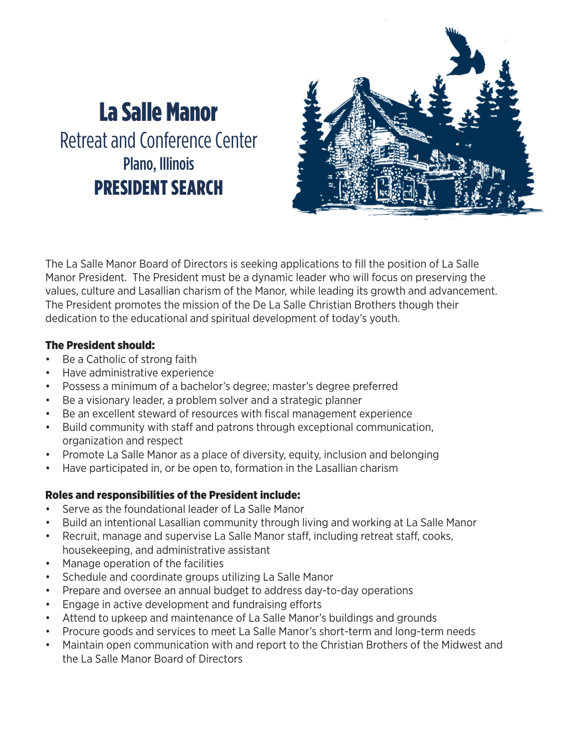# La Salle Manor Retreat and Conference Center Plano, Illinois PRESIDENT SEARCH



The La Salle Manor Board of Directors is seeking applications to fill the position of La Salle Manor President. The President must be a dynamic leader who will focus on preserving the values, culture and Lasallian charism of the Manor, while leading its growth and advancement. The President promotes the mission of the De La Salle Christian Brothers though their dedication to the educational and spiritual development of today's youth.

#### The President should:

- Be a Catholic of strong faith
- Have administrative experience
- Possess a minimum of a bachelor's degree; master's degree preferred
- Be a visionary leader, a problem solver and a strategic planner
- Be an excellent steward of resources with fiscal management experience
- Build community with staff and patrons through exceptional communication, organization and respect
- Promote La Salle Manor as a place of diversity, equity, inclusion and belonging
- Have participated in, or be open to, formation in the Lasallian charism

## Roles and responsibilities of the President include:

- Serve as the foundational leader of La Salle Manor
- Build an intentional Lasallian community through living and working at La Salle Manor
- Recruit, manage and supervise La Salle Manor staff, including retreat staff, cooks, housekeeping, and administrative assistant
- Manage operation of the facilities
- Schedule and coordinate groups utilizing La Salle Manor
- Prepare and oversee an annual budget to address day-to-day operations
- Engage in active development and fundraising efforts
- Attend to upkeep and maintenance of La Salle Manor's buildings and grounds
- Procure goods and services to meet La Salle Manor's short-term and long-term needs
- Maintain open communication with and report to the Christian Brothers of the Midwest and the La Salle Manor Board of Directors